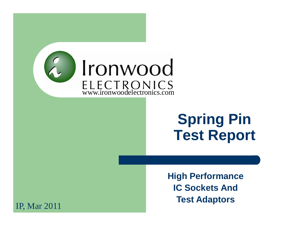

# **Spring Pin Test Report**

**High PerformanceIC Sockets And Test Adaptors**

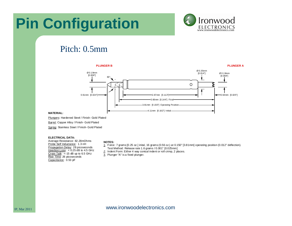### **Pin Configuration**



### Pitch: 0.5mm



#### **MATERIAL:**

Plungers: Hardened Steel / Finish- Gold Plated

Barrel: Copper Alloy / Finish- Gold Plated

Spring: Stainless Steel / Finish- Gold Plated

#### **ELECTRICAL DATA:**

 Average Resistance: 82.28mOhmsProbe Self Inductance: 1.3 nH Propagation Delay: 28 picoseconds Insertion Loss: < 0.25 dB to 4.5 GHz <u>Cross Talk</u>: <-15 dB up to 6.5 GHz Rise Time: 26 picoseconds Capacitance: 0.53 pF

#### **NOTES:**

- 1. Force: 7 grams [0.25 oz.] inital, 16 grams (0.56 oz.) at 0.150" [3.81mm] operating position (0.012" deflection).Test Method: Release rate 1.6 grams / 0.001" [0.025mm]
- 2. Indent Form: Either 4 way conical indent or roll crimp, 2 places.
- 3. Plunger "A" is a fixed plunger.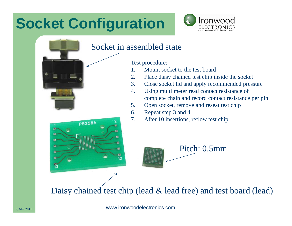# **Socket Configuration**

**P5258A** 



### Socket in assembled state

Test procedure:

- 1. Mount socket to the test board
- 2. Place daisy chained test chip inside the socket
- 3. Close socket lid and apply recommended pressure
- 4. Using multi meter read contact resistance of complete chain and record contact resistance per pin
- 5. Open socket, remove and reseat test chip
- 6.Repeat step 3 and 4
- 7. After 10 insertions, reflow test chip.



Daisy chained test chip (lead & lead free) and test board (lead)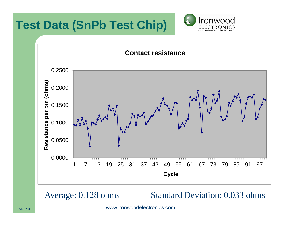





Average: 0.128 ohms Standard Deviation: 0.033 ohms

www.ironwoodelectronics.com